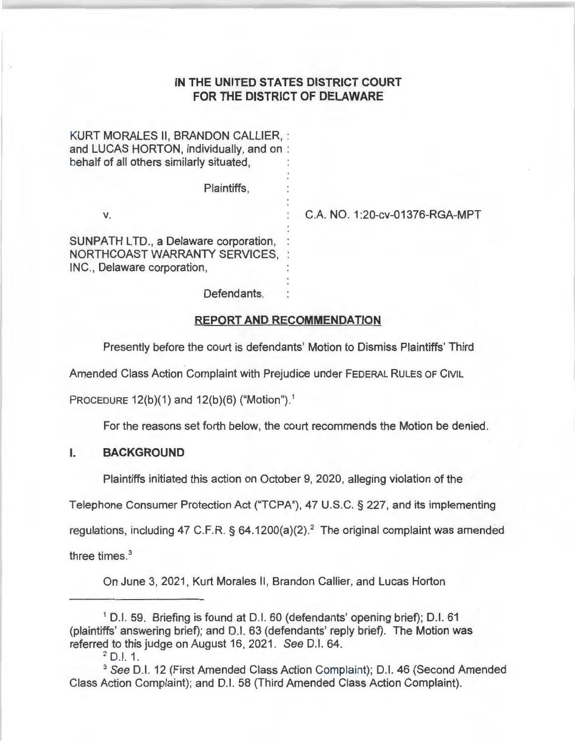# **IN THE UNITED STATES DISTRICT COURT FOR THE DISTRICT OF DELAWARE**

| KURT MORALES II, BRANDON CALLIER, :<br>and LUCAS HORTON, individually, and on:<br>behalf of all others similarly situated, |                                |
|----------------------------------------------------------------------------------------------------------------------------|--------------------------------|
| Plaintiffs,                                                                                                                |                                |
| v.                                                                                                                         | C.A. NO. 1:20-cv-01376-RGA-MPT |
| SUNPATH LTD., a Delaware corporation,<br>NORTHCOAST WARRANTY SERVICES, :<br>INC., Delaware corporation,                    |                                |
|                                                                                                                            |                                |

Defendants.

## **REPORT AND RECOMMENDATION**

Presently before the court is defendants' Motion to Dismiss Plaintiffs' Third

Amended Class Action Complaint with Prejudice under FEDERAL RULES OF CIVIL

PROCEDURE  $12(b)(1)$  and  $12(b)(6)$  ("Motion").<sup>1</sup>

For the reasons set forth below, the court recommends the Motion be denied.

### I. **BACKGROUND**

Plaintiffs initiated this action on October 9, 2020, alleging violation of the

Telephone Consumer Protection Act ("TCPA"), 47 U.S.C. § 227, and its implementing

regulations, including 47 C.F.R.  $\S$  64.1200(a)(2).<sup>2</sup> The original complaint was amended

three times. 3

On June 3, 2021, Kurt Morales II, Brandon Callier, and Lucas Horton

<sup>1</sup>D.I. 59. Briefing is found at D.I. 60 (defendants' opening brief); D.I. 61 (plaintiffs' answering brief); and D.I. 63 (defendants' reply brief). The Motion was referred to this judge on August 16, 2021. See D.I. 64.

 $2$  D.I. 1.

<sup>&</sup>lt;sup>3</sup> See D.I. 12 (First Amended Class Actior Complaint); D.I. 46 (Second Amended Class Action Complaint); and D.I. 58 (Third Amended Class Action Complaint).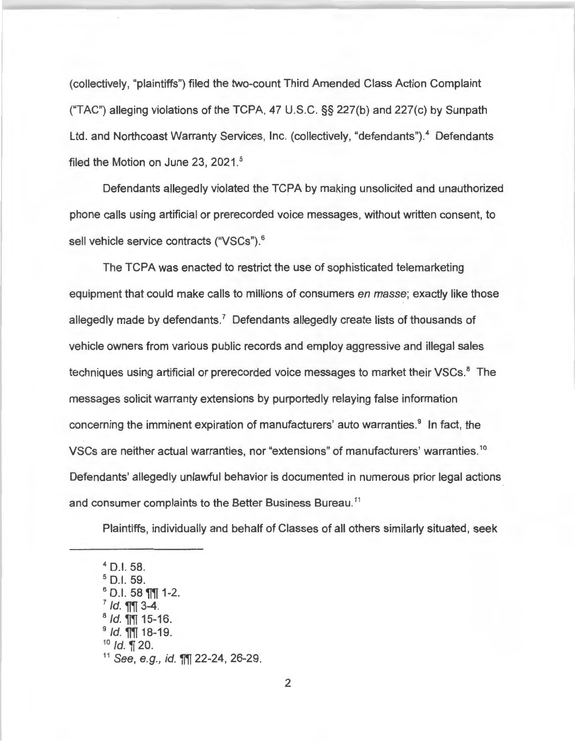(collectively, "plaintiffs") filed the two-count Third Amended Class Action Complaint ("TAC") alleging violations of the TCPA, 47 U.S.C. §§ 227(b) and 227(c) by Sunpath Ltd. and Northcoast Warranty Services, Inc. (collectively, "defendants").<sup>4</sup> Defendants filed the Motion on June 23, 2021.<sup>5</sup>

Defendants allegedly violated the TCPA by making unsolicited and unauthorized phone calls using artificial or prerecorded voice messages, without written consent, to sell vehicle service contracts ("VSCs"). 6

The TCPA was enacted to restrict the use of sophisticated telemarketing equipment that could make calls to millions of consumers en masse; exactly like those allegedly made by defendants. 7 Defendants allegedly create lists of thousands of vehicle owners from various public records and employ aggressive and illegal sales techniques using artificial or prerecorded voice messages to market their VSCs.<sup>8</sup> The messages solicit warranty extensions by purportedly relaying false information concerning the imminent expiration of manufacturers' auto warranties.<sup>9</sup> In fact, the VSCs are neither actual warranties, nor "extensions" of manufacturers' warranties. <sup>10</sup> Defendants' allegedly unlawful behavior is documented in numerous prior legal actions and consumer complaints to the Better Business Bureau.<sup>11</sup>

Plaintiffs, individually and behalf of Classes of all others similarly situated, seek

 $4$  D.I. 58.  $<sup>5</sup>$  D.I. 59.<br> $<sup>6</sup>$  D.I. 58 ¶¶ 1-2.</sup></sup> <sup>7</sup> *Id.* **¶¶** 3-4.<br><sup>8</sup> *Id.* **¶¶** 15-16.<br><sup>9</sup> *Id.* **¶** 18-19. <sup>10</sup> *Id.* ¶ 20.  $11$  See, e.g., id.  $\P$ || 22-24, 26-29.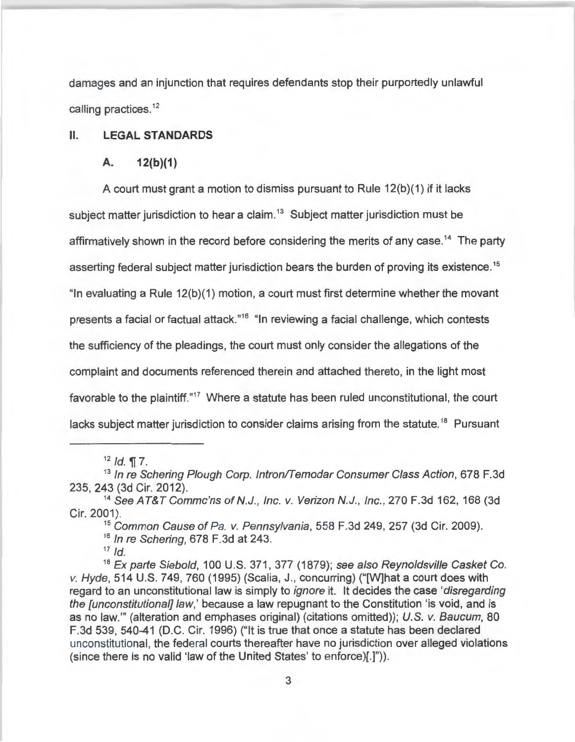damages and an injunction that requires defendants stop their purportedly unlawful calling practices.<sup>12</sup>

II. **LEGAL STANDARDS** 

### **A. 12(b}(1)**

A court must grant a motion to dismiss pursuant to Rule 12(b)(1) if it lacks subject matter jurisdiction to hear a claim.<sup>13</sup> Subject matter jurisdiction must be affirmatively shown in the record before considering the merits of any case.<sup>14</sup> The party asserting federal subject matter jurisdiction bears the burden of proving its existence.<sup>15</sup> "In evaluating a Rule 12(b)(1) motion, a court must first determine whether the movant presents a facial or factual attack."<sup>16</sup> "In reviewing a facial challenge, which contests the sufficiency of the pleadings, the court must only consider the allegations of the complaint and documents referenced therein and attached thereto, in the light most favorable to the plaintiff."<sup>17</sup> Where a statute has been ruled unconstitutional, the court lacks subject matter jurisdiction to consider claims arising from the statute.<sup>18</sup> Pursuant

 $12$  Id. **17.** 

<sup>15</sup> Common Cause of Pa. v. Pennsylvania, 558 F.3d 249, 257 (3d Cir. 2009). <sup>16</sup> In re Schering, 678 F.3d at 243.

 $17$  Id.

<sup>18</sup> Ex parte Siebold, 100 U.S. 371, 377 (1879); see also Reynoldsville Casket Co. v. Hyde, 514 U.S. 749, 760 (1995) (Scalia, J. , concurring) ("[W]hat a court does with regard to an unconstitutional law is simply to ignore it. It decides the case 'disregarding the *[unconstitutional] law*,' because a law repugnant to the Constitution 'is void, and is as no law."' (alteration and emphases original) (citations omitted)); U.S. v. Baucum, 80 F.3d 539, 540-41 (D.C. Cir. 1996) ("It is true that once a statute has been declared unconstitutional, the federal courts thereafter have no jurisdiction over alleged violations (since there is no valid 'law of the United States' to enforce)[.]")).

<sup>&</sup>lt;sup>13</sup> In re Schering Plough Corp. Intron/Temodar Consumer Class Action, 678 F.3d 235, 243 (3d Cir. 2012).

<sup>&</sup>lt;sup>14</sup> See AT&T Commc'ns of N.J., Inc. v. Verizon N.J., Inc., 270 F.3d 162, 168 (3d Cir. 2001).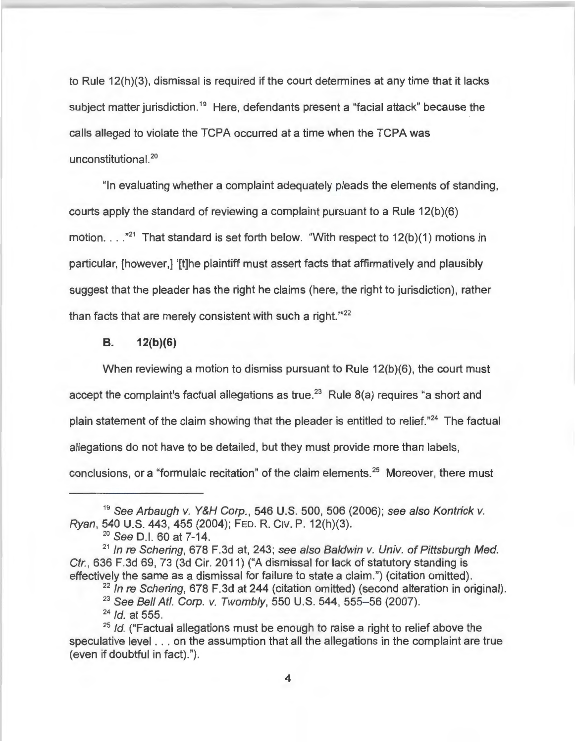to Rule 12(h)(3), dismissal is required if the court determines at any time that it lacks subject matter jurisdiction.<sup>19</sup> Here, defendants present a "facial attack" because the calls alleged to violate the TCPA occurred at a time when the TCPA was unconstitutional.<sup>20</sup>

"In evaluating whether a complaint adequately pleads the elements of standing, courts apply the standard of reviewing a complaint pursuant to a Rule 12(b)(6) motion.  $\dots$   $\mathbb{Z}^1$  That standard is set forth below. "With respect to 12(b)(1) motions in particular, [however,] '[t]he plaintiff must assert facts that affirmatively and plausibly suggest that the pleader has the right he claims (here, the right to jurisdiction), rather than facts that are merely consistent with such a right."<sup>22</sup>

#### **8 . 12{b)(6)**

When reviewing a motion to dismiss pursuant to Rule 12(b)(6), the court must accept the complaint's factual allegations as true.<sup>23</sup> Rule  $8(a)$  requires "a short and plain statement of the claim showing that the pleader is entitled to relief.<sup>"24</sup> The factual allegations do not have to be detailed, but they must provide more than labels, conclusions, or a "formulaic recitation" of the claim elements.<sup>25</sup> Moreover, there must

<sup>&</sup>lt;sup>19</sup> See Arbaugh v. Y&H Corp., 546 U.S. 500, 506 (2006); see also Kontrick v. Ryan, 540 U.S. 443, 455 (2004); FED. R. CIv. P. 12(h)(3).

<sup>&</sup>lt;sup>20</sup> See D.I. 60 at 7-14.

 $21$  In re Schering, 678 F.3d at, 243; see also Baldwin v. Univ. of Pittsburgh Med. Ctr., 636 F.3d 69, 73 (3d Cir. 2011) ("A dismissal for lack of statutory standing is effectively the same as a dismissal for failure to state a claim.") (citation omitted).

 $22$  In re Schering, 678 F.3d at 244 (citation omitted) (second alteration in original).

<sup>&</sup>lt;sup>23</sup> See Bell Atl. Corp. v. Twombly, 550 U.S. 544, 555-56 (2007).

 $24$  Id. at 555.

 $25$  Id. ("Factual allegations must be enough to raise a right to relief above the speculative level . .. on the assumption that all the allegations in the complaint are true (even if doubtful in fact).").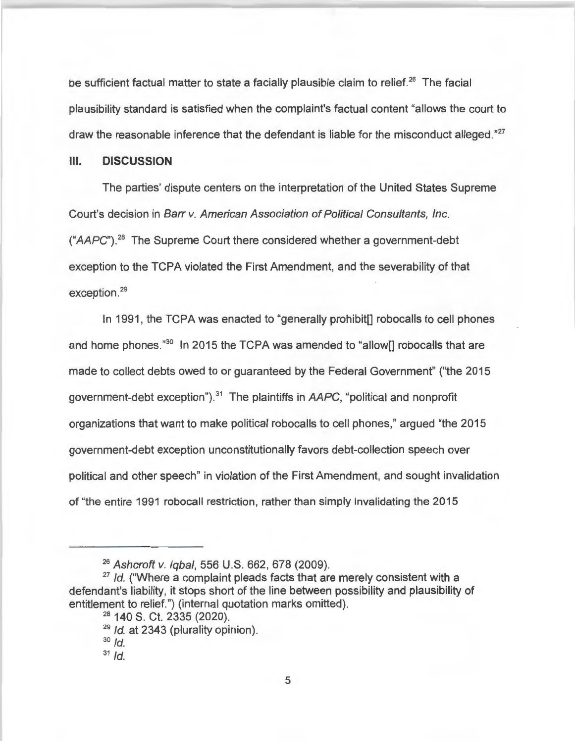be sufficient factual matter to state a facially plausible claim to relief.<sup>26</sup> The facial plausibility standard is satisfied when the complaint's factual content "allows the court to draw the reasonable inference that the defendant is liable for the misconduct alleged."<sup>27</sup>

### **Ill. DISCUSSION**

The parties' dispute centers on the interpretation of the United States Supreme Court's decision in Barr v. American Association of Political Consultants, Inc.  $(*AAPC")$ .<sup>28</sup> The Supreme Court there considered whether a government-debt exception to the TCPA violated the First Amendment, and the severability of that exception.<sup>29</sup>

In 1991, the TCPA was enacted to "generally prohibit [] robocalls to cell phones and home phones."<sup>30</sup> In 2015 the TCPA was amended to "allow[] robocalls that are made to collect debts owed to or guaranteed by the Federal Government" ("the 2015 government-debt exception").<sup>31</sup> The plaintiffs in  $AAPC$ , "political and nonprofit organizations that want to make political robocalls to cell phones," argued "the 2015 government-debt exception unconstitutionally favors debt-collection speech over political and other speech" in violation of the First Amendment, and sought invalidation of "the entire 1991 robocall restriction, rather than simply invalidating the 2015

<sup>&</sup>lt;sup>26</sup> Ashcroft v. Igbal, 556 U.S. 662, 678 (2009).

 $27$  Id. ("Where a complaint pleads facts that are merely consistent with a defendant's liability, it stops short of the line between possibility and plausibility of entitlement to relief.") (internal quotation marks omitted).

<sup>&</sup>lt;sup>28</sup> 140 S. Ct. 2335 (2020).

 $29$  Id. at 2343 (plurality opinion).

 $30$   $\overline{d}$ .

 $31$   $Id.$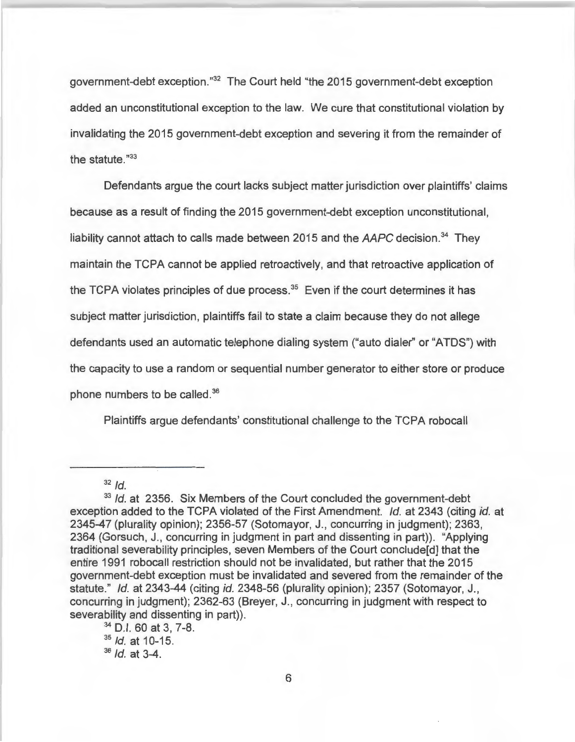government-debt exception."<sup>32</sup> The Court held "the 2015 government-debt exception added an unconstitutional exception to the law. We cure that constitutional violation by invalidating the 2015 government-debt exception and severing it from the remainder of the statute."<sup>33</sup>

Defendants argue the court lacks subject matter jurisdiction over plaintiffs' claims because as a result of finding the 2015 government-debt exception unconstitutional, liability cannot attach to calls made between 2015 and the  $AAPC$  decision.<sup>34</sup> They maintain the TCPA cannot be applied retroactively, and that retroactive application of the TCPA violates principles of due process.<sup>35</sup> Even if the court determines it has subject matter jurisdiction, plaintiffs fail to state a claim because they do not allege defendants used an automatic telephone dialing system ("auto dialer" or "ATOS") with the capacity to use a random or sequential number generator to either store or produce phone numbers to be called.<sup>36</sup>

Plaintiffs argue defendants' constitutional challenge to the TCPA robocall

 $32$  Id.

<sup>&</sup>lt;sup>33</sup> Id. at 2356. Six Members of the Court concluded the government-debt exception added to the TCPA violated of the First Amendment. *Id.* at 2343 (citing *id.* at 2345-47 (plurality opinion); 2356-57 (Sotomayor, J. , concurring in judgment); 2363, 2364 (Gorsuch, J., concurring in judgment in part and dissenting in part)). "Applying traditional severability principles, seven Members of the Court conclude[d] that the entire 1991 robocall restriction should not be invalidated , but rather that the 2015 government-debt exception must be invalidated and severed from the remainder of the statute." Id. at 2343-44 (citing id. 2348-56 (plurality opinion); 2357 (Sotomayor, J., concurring in judgment); 2362-63 (Breyer, J., concurring in judgment with respect to severability and dissenting in part)).

<sup>34</sup>D.I. 60 at 3, 7-8.

<sup>35</sup> Id. at 10-15.

 $36$  Id. at  $3-4$ .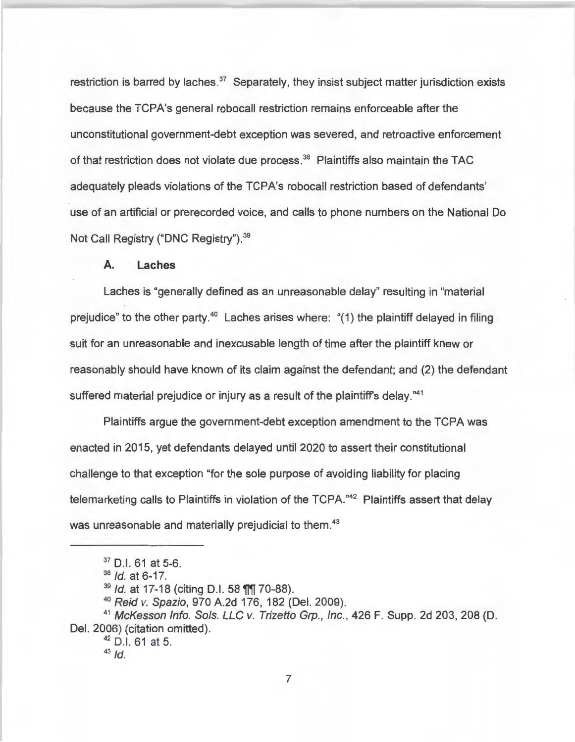restriction is barred by laches.<sup>37</sup> Separately, they insist subject matter jurisdiction exists because the TCPA's general robocall restriction remains enforceable after the unconstitutional government-debt exception was severed, and retroactive enforcement of that restriction does not violate due process.<sup>38</sup> Plaintiffs also maintain the TAC adequately pleads violations of the TCPA's robocall restriction based of defendants' use of an artificial or prerecorded voice, and calls to phone numbers on the National Do Not Call Registry ("DNC Registry"). <sup>39</sup>

## **A. Laches**

Laches is "generally defined as an unreasonable delay" resulting in "material prejudice" to the other party. $40$  Laches arises where: "(1) the plaintiff delayed in filing suit for an unreasonable and inexcusable length of time after the plaintiff knew or reasonably should have known of its claim against the defendant; and (2) the defendant suffered material prejudice or injury as a result of the plaintiff's delay."<sup>41</sup>

Plaintiffs argue the government-debt exception amendment to the TCPA was enacted in 2015, yet defendants delayed until 2020 to assert their constitutional challenge to that exception "for the sole purpose of avoiding liability for placing telemarketing calls to Plaintiffs in violation of the TCPA."<sup>42</sup> Plaintiffs assert that delay was unreasonable and materially prejudicial to them.<sup>43</sup>

<sup>37</sup> D.I. 61 at 5-6.

 $38$  *Id.* at 6-17.

<sup>&</sup>lt;sup>39</sup> Id. at 17-18 (citing D.I. 58 **11** 70-88).

<sup>40</sup>Reid v. Spazio, 970 A.2d 176, 182 (Del. 2009).

<sup>&</sup>lt;sup>41</sup> McKesson Info. Sols. LLC v. Trizetto Grp., Inc., 426 F. Supp. 2d 203, 208 (D. Del. 2006) (citation omitted).

<sup>42 0.1.</sup> 61 at 5.

 $43$  Id.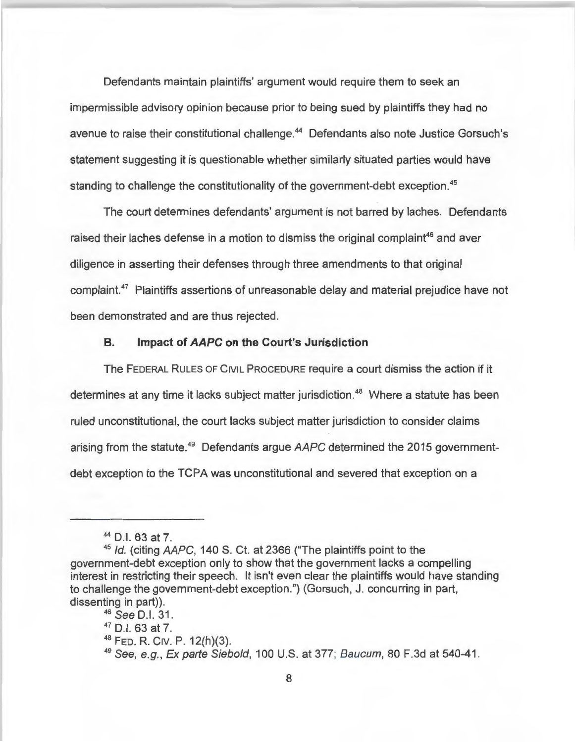Defendants maintain plaintiffs' argument would require them to seek an impermissible advisory opinion because prior to being sued by plaintiffs they had no avenue to raise their constitutional challenge.<sup>44</sup> Defendants also note Justice Gorsuch's statement suggesting it is questionable whether similarly situated parties would have standing to challenge the constitutionality of the government-debt exception.<sup>45</sup>

The court determines defendants' argument is not barred by laches. Defendants raised their laches defense in a motion to dismiss the original complaint<sup>46</sup> and aver diligence in asserting their defenses through three amendments to that original complaint.<sup>47</sup> Plaintiffs assertions of unreasonable delay and material prejudice have not been demonstrated and are thus rejected.

### **B. Impact of AAPC on the Court's Jurisdiction**

The FEDERAL RULES OF CIVIL PROCEDURE require a court dismiss the action if it determines at any time it lacks subject matter jurisdiction.<sup>48</sup> Where a statute has been ruled unconstitutional, the court lacks subject matter jurisdiction to consider claims arising from the statute.<sup>49</sup> Defendants argue  $AAPC$  determined the 2015 governmentdebt exception to the TCPA was unconstitutional and severed that exception on a

 $44$  D.I. 63 at 7.<br> $45$  *Id.* (citing *AAPC*, 140 S. Ct. at 2366 ("The plaintiffs point to the government-debt exception only to show that the government lacks a compelling interest in restricting their speech. It isn't even clear the plaintiffs would have standing to challenge the government-debt exception.") (Gorsuch, J. concurring in part, dissenting in part)).

<sup>46</sup> See D.I. 31.

 $47$  D.I. 63 at 7.<br> $48$  Feb. R. Civ. P. 12(h)(3).

<sup>49</sup>See, e.g., Ex parte Siebold, 100 U.S. at 377; Baucum, 80 F.3d at 540-41.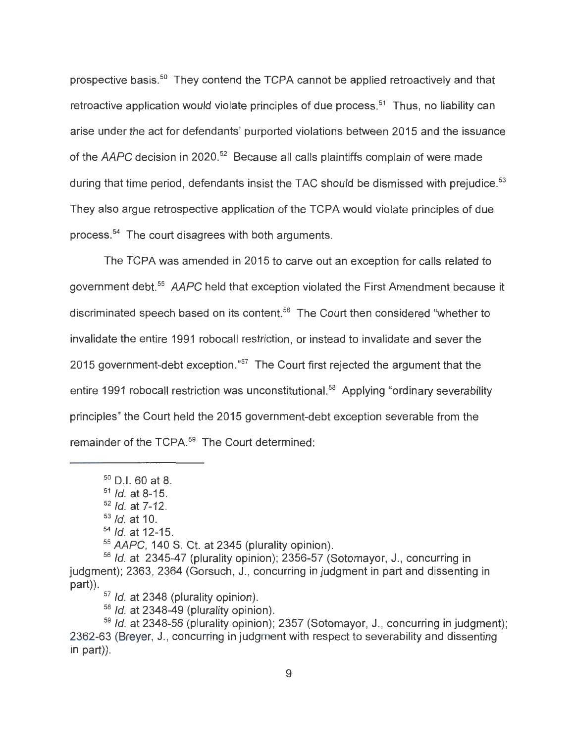prospective basis.<sup>50</sup> They contend the TCPA cannot be applied retroactively and that retroactive application would violate principles of due process.<sup>51</sup> Thus, no liability can arise under the act for defendants' purported violations between 2015 and the issuance of the *AAPC* decision in 2020.<sup>52</sup> Because all calls plaintiffs complain of were made during that time period, defendants insist the TAC should be dismissed with prejudice.<sup>53</sup> They also argue retrospective application of the TCPA would violate principles of due process.<sup>54</sup> The court disagrees with both arguments.

The TCPA was amended in 2015 to carve out an exception for calls related to government debt. <sup>55</sup>*AAPC* held that exception violated the First Amendment because it discriminated speech based on its content.<sup>56</sup> The Court then considered "whether to invalidate the entire 1991 robocall restriction, or instead to invalidate and sever the 2015 government-debt exception."<sup>57</sup> The Court first rejected the argument that the entire 1991 robocall restriction was unconstitutional.<sup>58</sup> Applying "ordinary severability principles" the Court held the 2015 government-debt exception severable from the remainder of the TCPA.<sup>59</sup> The Court determined:

 $50$  D.I. 60 at 8.

 $51$  *Id.* at 8-15.

 $52$  *Id.* at  $7-12$ .

 $53$  *Id.* at 10.

 $54$  Id. at 12-15.

<sup>55</sup>*AAPC,* 140 S. Ct. at 2345 (plurality opinion).

 $56$  Id. at 2345-47 (plurality opinion); 2356-57 (Sotomayor, J., concurring in judgment); 2363, 2364 (Gorsuch, J., concurring in judgment in part and dissenting in part)).

 $57$  *ld.* at 2348 (plurality opinion).

 $58$  *ld.* at 2348-49 (plurality opinion).

 $59$  Id. at 2348-56 (plurality opinion); 2357 (Sotomayor, J., concurring in judgment); 2362-63 (Breyer, J., concurring in judgment with respect to severability and dissenting in part)).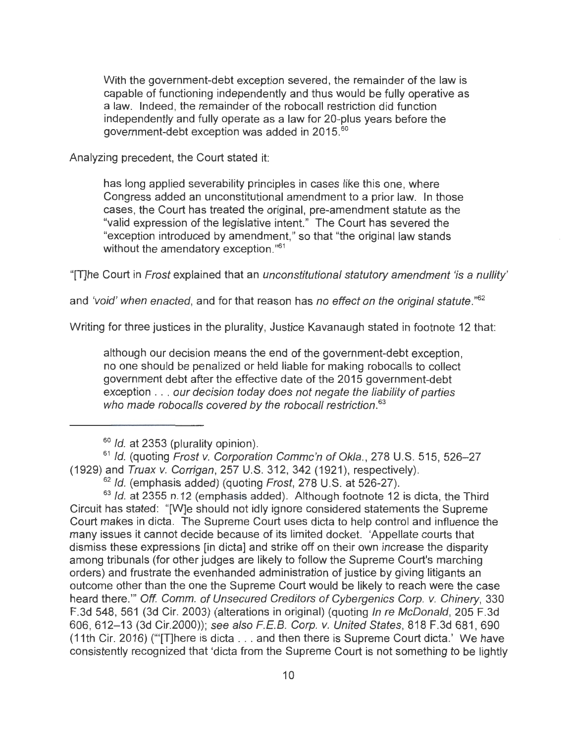With the government-debt exception severed, the remainder of the law is capable of functioning independently and thus would be fully operative as a law. Indeed, the remainder of the robocall restriction did function independently and fully operate as a law for 20-plus years before the government-debt exception was added in 2015.<sup>60</sup>

Analyzing precedent, the Court stated it:

has long applied severability principles in cases like this one, where Congress added an unconstitutional amendment to a prior law. In those cases, the Court has treated the original, pre-amendment statute as the "valid expression of the legislative intent." The Court has severed the "exception introduced by amendment," so that "the original law stands without the amendatory exception." 61

"[T]he Court in Frost explained that an unconstitutional statutory amendment 'is a nullity'

and 'void' when enacted, and for that reason has no effect on the original statute." *62* 

Writing for three justices in the plurality, Justice Kavanaugh stated in footnote 12 that:

although our decision means the end of the government-debt exception, no one should be penalized or held liable for making robocalls to collect government debt after the effective date of the 2015 government-debt exception . . . our decision today does not negate the liability of parties who made robocalls covered by the robocall restriction.<sup>63</sup>

<sup>61</sup> Id. (quoting Frost v. Corporation Commc'n of Okla., 278 U.S. 515, 526-27 (1929) and Truax v. Corrigan, 257 U.S. 312, 342 (1921), respectively).

 $63$  *ld.* at 2355 n.12 (emphasis added). Although footnote 12 is dicta, the Third Circuit has stated: "[W]e should not idly ignore considered statements the Supreme Court makes in dicta. The Supreme Court uses dicta to help control and influence the many issues it cannot decide because of its limited docket. 'Appellate courts that dismiss these expressions [in dicta] and strike off on their own increase the disparity among tribunals (for other judges are likely to follow the Supreme Court's marching orders) and frustrate the evenhanded administration of justice by giving litigants an outcome other than the one the Supreme Court would be likely to reach were the case heard there."' Off. Comm. of Unsecured Creditors of Cybergenics Corp. v. Chinery, 330 F.3d 548, 561 (3d Cir. 2003) (alterations in original) (quoting In re McDonald, 205 F.3d 606, 612-13 (3d Cir.2000)); see also F.E.B. Corp. v. United States, 818 F.3d 681,690 (11th Cir. 2016) ('"[T]here is dicta . .. and then there is Supreme Court dicta.' We have consistently recognized that 'dicta from the Supreme Court is not something to be lightly

 $60$  *Id.* at 2353 (plurality opinion).

 $62$  Id. (emphasis added) (quoting Frost, 278 U.S. at 526-27).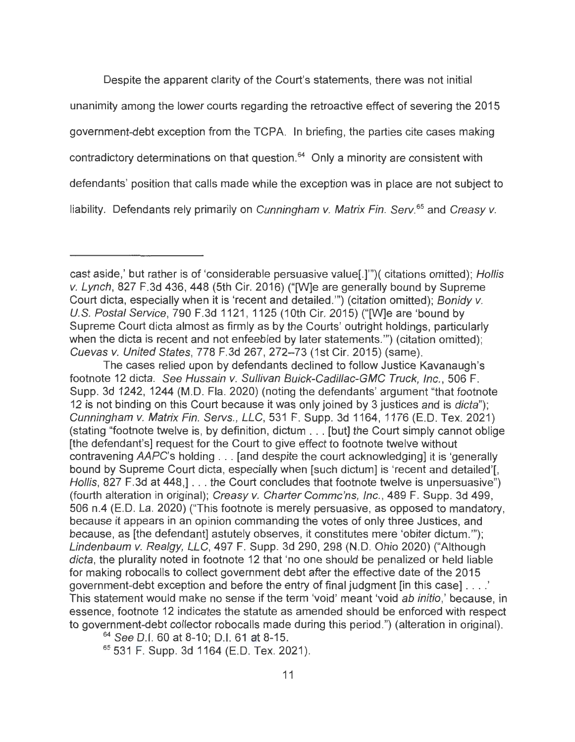Despite the apparent clarity of the Court's statements, there was not initial unanimity among the lower courts regarding the retroactive effect of severing the 2015 government-debt exception from the TCPA. In briefing, the parties cite cases making contradictory determinations on that question.<sup>64</sup> Only a minority are consistent with defendants' position that calls made while the exception was in place are not subject to liability. Defendants rely primarily on Cunningham v. Matrix Fin. Serv.<sup>65</sup> and Creasy v.

The cases relied upon by defendants declined to follow Justice Kavanaugh's footnote 12 dicta. See Hussain v. Sullivan Buick-Cadillac-GMC Truck, Inc., 506 F. Supp. 3d 1242, 1244 (M.D. Fla. 2020) (noting the defendants' argument "that footnote 12 is not binding on this Court because it was only joined by 3 justices and is *dicta*"): Cunningham v. Matrix Fin. Servs., LLC, 531 F. Supp. 3d 1164, 1176 (E.D. Tex. 2021) (stating "footnote twelve is, by definition, dictum .. . [but] the Court simply cannot oblige [the defendant's] request for the Court to give effect to footnote twelve without contravening AAPC's holding ... [and despite the court acknowledging] it is 'generally bound by Supreme Court dicta, especially when [such dictum] is 'recent and detailed'[, Hollis, 827 F.3d at 448, [ $\ldots$  the Court concludes that footnote twelve is unpersuasive") (fourth alteration in original); Creasy v. Charter Commc'ns, Inc., 489 F. Supp. 3d 499, 506 n.4 (E.D. La. 2020) ("This footnote is merely persuasive, as opposed to mandatory, because it appears in an opinion commanding the votes of only three Justices, and because, as [the defendant] astutely observes, it constitutes mere 'obiter dictum."'); Lindenbaum v. Realgy, LLC, 497 F. Supp. 3d 290, 298 (N.D. Ohio 2020) ("Although dicta, the plurality noted in footnote 12 that 'no one should be penalized or held liable for making robocalls to collect government debt after the effective date of the 2015 government-debt exception and before the entry of final judgment [in this case] . .. . ' This statement would make no sense if the term 'void' meant 'void ab initio,' because, in essence, footnote 12 indicates the statute as amended should be enforced with respect to government-debt collector robocalls made during this period .") (alteration in original).

<sup>64</sup> See D.I. 60 at 8-10; D.I. 61 at 8-15.

<sup>65</sup>531 F. Supp. 3d 1164 (E.D. Tex. 2021).

cast aside,' but rather is of 'considerable persuasive value[.]"')( citations omitted); Hollis v. Lynch, 827 F.3d 436, 448 (5th Cir. 2016) ("[W]e are generally bound by Supreme Court dicta, especially when it is 'recent and detailed."') (citation omitted); Bonidy v. U.S. Postal Service, 790 F.3d 1121 , 1125 (10th Cir. 2015) ("[W]e are 'bound by Supreme Court dicta almost as firmly as by the Courts' outright holdings, particularly when the dicta is recent and not enfeebled by later statements."') (citation omitted); Cuevas v. United States, 778 F.3d 267, 272-73 (1st Cir. 2015) (same).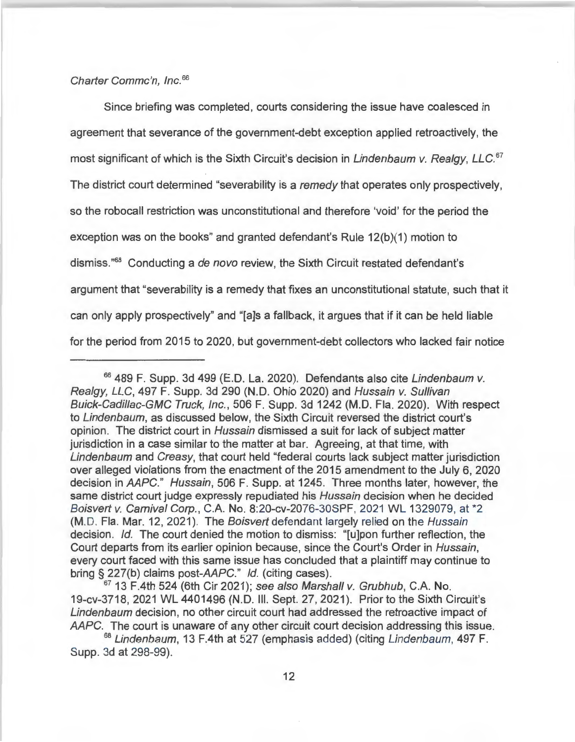### Charter Commc'n, Inc. 66

Since briefing was completed, courts considering the issue have coalesced in agreement that severance of the government-debt exception applied retroactively, the most significant of which is the Sixth Circuit's decision in Lindenbaum v. Realgy, LLC.<sup>67</sup> The district court determined "severability is a remedy that operates only prospectively, so the robocall restriction was unconstitutional and therefore 'void' for the period the exception was on the books" and granted defendant's Rule 12(b)(1) motion to dismiss."<sup>68</sup> Conducting a de novo review, the Sixth Circuit restated defendant's argument that "severability is a remedy that fixes an unconstitutional statute, such that it can only apply prospectively" and "[a]s a fallback, it argues that if it can be held liable for the period from 2015 to 2020, but government-debt collectors who lacked fair notice

 $67$  13 F.4th 524 (6th Cir 2021); see also Marshall v. Grubhub, C.A. No. 19-cv-3718, 2021 WL 4401496 (N.D. Ill. Sept. 27, 2021 ). Prior to the Sixth Circuit's Lindenbaum decision, no other circuit court had addressed the retroactive impact of AAPC. The court is unaware of any other circuit court decision addressing this issue.

<sup>68</sup> Lindenbaum, 13 F.4th at 527 (emphasis added) (citing Lindenbaum, 497 F. Supp. 3d at 298-99).

<sup>&</sup>lt;sup>66</sup> 489 F. Supp. 3d 499 (E.D. La. 2020). Defendants also cite Lindenbaum v. Realgy, LLC, 497 F. Supp. 3d 290 **(N.D.** Ohio 2020) and Hussain v. Sullivan Buick-Cadillac-GMC Truck, Inc., 506 F. Supp. 3d 1242 (M.D. Fla. 2020). With respect to Lindenbaum, as discussed below, the Sixth Circuit reversed the district court's opinion. The district court in Hussain dismissed a suit for lack of subject matter jurisdiction in a case similar to the matter at bar. Agreeing, at that time, with Lindenbaum and Creasy, that court held "federal courts lack subject matter jurisdiction over alleged violations from the enactment of the 2015 amendment to the July 6, 2020 decision in AAPC." Hussain, 506 F. Supp. at 1245. Three months later, however, the same district court judge expressly repudiated his Hussain decision when he decided Boisvert v. Carnival Corp., C.A. No. 8:20-cv-2076-30SPF, 2021 WL 1329079, at \*2 (M.D. Fla. Mar. 12, 2021). The Boisvert defendant largely relied on the Hussain decision. Id. The court denied the motion to dismiss: "[u]pon further reflection, the Court departs from its earlier opinion because, since the Court's Order in Hussain, every court faced with this same issue has concluded that a plaintiff may continue to bring§ 227(b) claims post-AAPC." Id. (citing cases).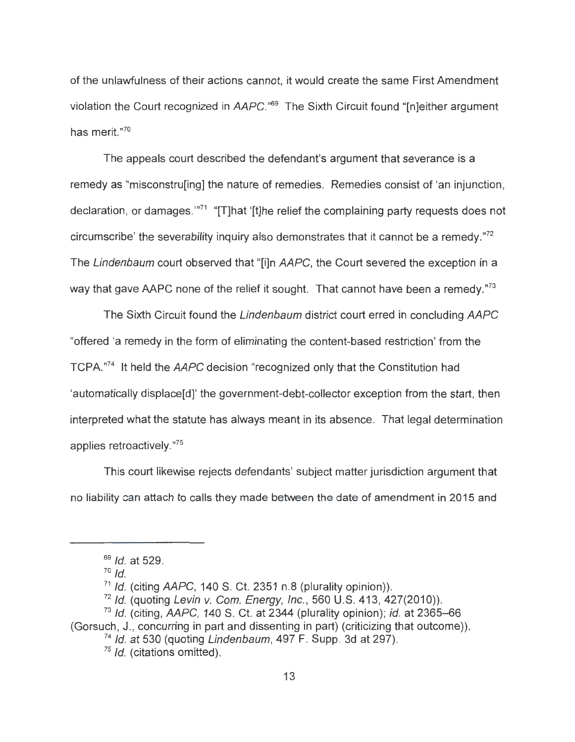of the unlawfulness of their actions cannot, it would create the same First Amendment violation the Court recognized in AAPC.<sup>"69</sup> The Sixth Circuit found "[n]either argument has merit." 70

The appeals court described the defendant's argument that severance is a remedy as "misconstru[ing] the nature of remedies. Remedies consist of 'an injunction, declaration, or damages.'"<sup>71</sup> "[T]hat '[t]he relief the complaining party requests does not circumscribe' the severability inquiry also demonstrates that it cannot be a remedy." $72$ The Lindenbaum court observed that "[i]n AAPC, the Court severed the exception in a way that gave AAPC none of the relief it sought. That cannot have been a remedy." $^{73}$ 

The Sixth Circuit found the Lindenbaum district court erred in concluding AAPC "offered 'a remedy in the form of eliminating the content-based restriction' from the TCPA."<sup>74</sup> It held the AAPC decision "recognized only that the Constitution had 'automatically displace[d]' the government-debt-collector exception from the start, then interpreted what the statute has always meant in its absence. That legal determination applies retroactively." 75

This court likewise rejects defendants' subject matter jurisdiction argument that no liability can attach to calls they made between the date of amendment in 2015 and

 $69$  *Id.* at 529.

 $70$  Id.

 $71$  Id. (citing AAPC, 140 S. Ct. 2351 n.8 (plurality opinion)).

 $72$  Id. (quoting Levin v. Com. Energy, Inc., 560 U.S. 413, 427(2010)).

 $73$  Id. (citing, AAPC, 140 S. Ct. at 2344 (plurality opinion); id. at 2365-66

<sup>(</sup>Gorsuch, J., concurring in part and dissenting in part) (criticizing that outcome)).

 $74$  Id. at 530 (quoting Lindenbaum, 497 F. Supp. 3d at 297).

 $75$  Id. (citations omitted).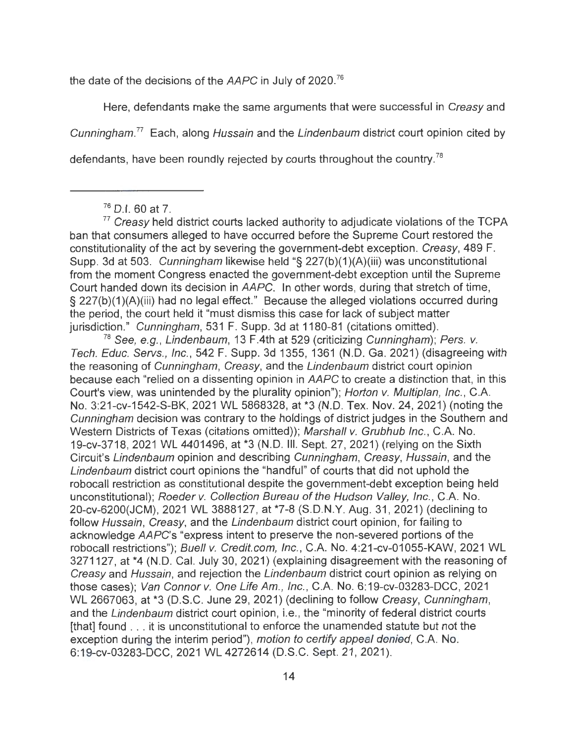the date of the decisions of the AAPC in July of 2020.<sup>76</sup>

Here, defendants make the same arguments that were successful in Creasy and

Cunningham.<sup>77</sup> Each, along *Hussain* and the *Lindenbaum* district court opinion cited by

defendants, have been roundly rejected by courts throughout the country.<sup>78</sup>

 $76$  D.I. 60 at 7.<br> $77$  Creasy held district courts lacked authority to adjudicate violations of the TCPA ban that consumers alleged to have occurred before the Supreme Court restored the constitutionality of the act by severing the government-debt exception. Creasy, 489 F. Supp. 3d at 503. Cunningham likewise held "§ 227(b)(1 )(A)(iii) was unconstitutional from the moment Congress enacted the government-debt exception until the Supreme Court handed down its decision in AAPC. In other words, during that stretch of time, § 227(b)(1 )(A)(iii) had no legal effect." Because the alleged violations occurred during the period, the court held it "must dismiss this case for lack of subject matter jurisdiction." Cunningham, 531 F. Supp. 3d at 1180-81 (citations omitted).

<sup>78</sup> See, e.g., Lindenbaum, 13 F.4th at 529 (criticizing Cunningham); Pers. v. Tech. Educ. Servs., Inc. , 542 F. Supp. 3d 1355, 1361 (N.D. Ga. 2021) (disagreeing with the reasoning of Cunningham, Creasy, and the Lindenbaum district court opinion because each "relied on a dissenting opinion in AAPC to create a distinction that, in this Court's view, was unintended by the plurality opinion"); Horton v. Mu/tip/an, Inc., C.A. No. 3:21-cv-1542-S-BK, 2021 WL 5868328, at \*3 (N.D. Tex. Nov. 24, 2021) (noting the Cunningham decision was contrary to the holdings of district judges in the Southern and Western Districts of Texas (citations omitted)); Marshall v. Grubhub Inc., C.A. No. 19-cv-3718, 2021 WL 4401496, at \*3 (N.D. Ill. Sept. 27, 2021) (relying on the Sixth Circuit's Lindenbaum opinion and describing Cunningham, Creasy, Hussain, and the Lindenbaum district court opinions the "handful" of courts that did not uphold the robocall restriction as constitutional despite the government-debt exception being held unconstitutional); Roeder v. Collection Bureau of the Hudson Valley, Inc. , C.A. No. 20-cv-6200(JCM), 2021 WL 3888127, at \*7-8 (S.D.N.Y. Aug. 31 , 2021) (declining to follow Hussain, Creasy, and the Lindenbaum district court opinion, for failing to acknowledge AAPC's "express intent to preserve the non-severed portions of the robocall restrictions"); Buell v. Credit.com, Inc., C.A. No. 4:21-cv-01055-KAW, 2021 WL 3271127, at \*4 (N.D. Cal. July 30, 2021) (explaining disagreement with the reasoning of Creasy and Hussain, and rejection the Lindenbaum district court opinion as relying on those cases); Van Connor v. One Life Am., Inc. , C.A. No. 6:19-cv-03283-DCC, 2021 WL 2667063, at \*3 (D.S.C. June 29, 2021) (declining to follow Creasy, Cunningham, and the Lindenbaum district court opinion, i.e., the "minority of federal district courts [that] found ... it is unconstitutional to enforce the unamended statute but not the exception during the interim period"), motion to certify appeal denied, C.A. No. 6:19-cv-03283-DCC, 2021 WL 4272614 (D.S.C. Sept. 21 , 2021).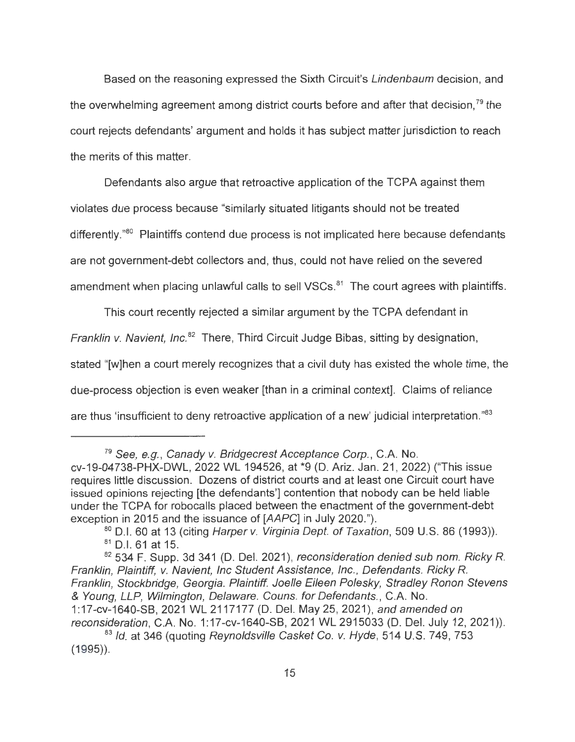Based on the reasoning expressed the Sixth Circuit's Lindenbaum decision, and the overwhelming agreement among district courts before and after that decision.<sup>79</sup> the court rejects defendants' argument and holds it has subject matter jurisdiction to reach the merits of this matter.

Defendants also argue that retroactive application of the TCPA against them violates due process because "similarly situated litigants should not be treated differently."<sup>80</sup> Plaintiffs contend due process is not implicated here because defendants are not government-debt collectors and, thus, could not have relied on the severed amendment when placing unlawful calls to sell VSCs.<sup>81</sup> The court agrees with plaintiffs.

This court recently rejected a similar argument by the TCPA defendant in Franklin v. Navient, Inc.<sup>82</sup> There, Third Circuit Judge Bibas, sitting by designation, stated "[w]hen a court merely recognizes that a civil duty has existed the whole time, the due-process objection is even weaker [than in a criminal context]. Claims of reliance are thus 'insufficient to deny retroactive application of a new' judicial interpretation."<sup>83</sup>

<sup>&</sup>lt;sup>79</sup> See, e.g., Canady v. Bridgecrest Acceptance Corp., C.A. No.

cv-19-04738-PHX-DWL, 2022 WL 194526, at \*9 (D. Ariz. Jan. 21, 2022) ("This issue requires little discussion. Dozens of district courts and at least one Circuit court have issued opinions rejecting [the defendants'] contention that nobody can be held liable under the TCPA for robocalls placed between the enactment of the government-debt exception in 2015 and the issuance of [AAPC] in July 2020.").

 $80$  D.I. 60 at 13 (citing Harper v. Virginia Dept. of Taxation, 509 U.S. 86 (1993)). 81 0.1. 61 at 15.

 $82$  534 F. Supp. 3d 341 (D. Del. 2021), reconsideration denied sub nom. Ricky R. Franklin, Plaintiff, v. Navient, Inc Student Assistance, Inc., Defendants. Ricky R. Franklin, Stockbridge, Georgia. Plaintiff. Joelle Eileen Polesky, Stradley Ronon Stevens & Young, LLP, Wilmington, Delaware. Couns. for Defendants., C.A. No. 1 :17-cv-1640-SB, 2021 WL 2117177 (D. Del. May 25, 2021), and amended on

reconsideration, C.A. No. 1:17-cv-1640-SB, 2021 WL 2915033 (D. Del. July 12, 2021)). <sup>83</sup> Id. at 346 (quoting Reynoldsville Casket Co. v. Hyde, 514 U.S. 749, 753

<sup>(1995)).</sup>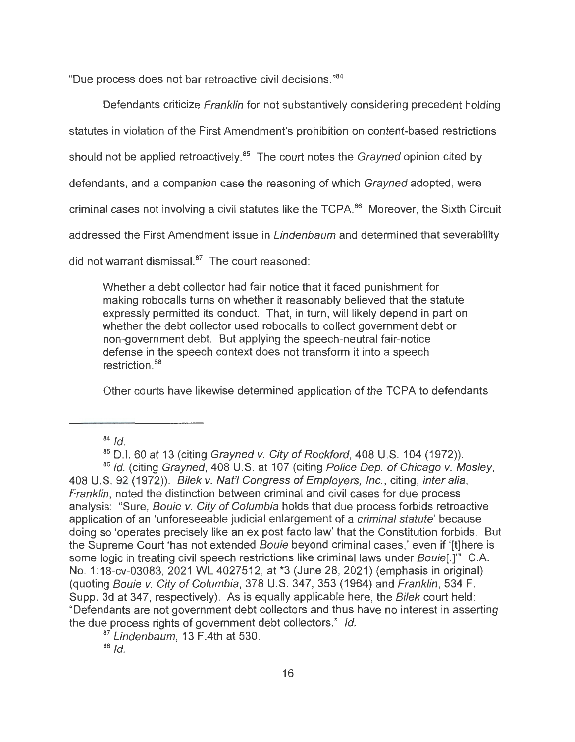"Due process does not bar retroactive civil decisions." 84

Defendants criticize *Franklin* for not substantively considering precedent holding statutes in violation of the First Amendment's prohibition on content-based restrictions should not be applied retroactively.<sup>85</sup> The court notes the Grayned opinion cited by defendants, and a companion case the reasoning of which Grayned adopted, were criminal cases not involving a civil statutes like the TCPA.<sup>86</sup> Moreover, the Sixth Circuit addressed the First Amendment issue in Lindenbaum and determined that severability did not warrant dismissal. $87$  The court reasoned:

Whether a debt collector had fair notice that it faced punishment for making robocalls turns on whether it reasonably believed that the statute expressly permitted its conduct. That, in turn, will likely depend in part on whether the debt collector used robocalls to collect government debt or non-government debt. But applying the speech-neutral fair-notice defense in the speech context does not transform it into a speech restriction.<sup>88</sup>

Other courts have likewise determined application of the TCPA to defendants

 $84$  Id.

 $85$  D.I. 60 at 13 (citing Grayned v. City of Rockford, 408 U.S. 104 (1972)).

86 Id. (citing Grayned, 408 U.S. at 107 (citing Police Dep. of Chicago v. Mosley, 408 U.S. 92 (1972)). Bilek v. Nat'/ Congress of Employers, Inc., citing, inter alia, Franklin, noted the distinction between criminal and civil cases for due process analysis: "Sure, Bouie v. City of Columbia holds that due process forbids retroactive application of an 'unforeseeable judicial enlargement of a criminal statute' because doing so 'operates precisely like an ex post facto law' that the Constitution forbids. But the Supreme Court 'has not extended Bouie beyond criminal cases,' even if '[t]here is some logic in treating civil speech restrictions like criminal laws under Bouie[.]"' C.A. No. 1:18-cv-03083, 2021 WL 4027512, at \*3 (June 28, 2021) (emphasis in original) (quoting Bouie v. City of Columbia, 378 U.S. 347, 353 (1964) and Franklin, 534 F. Supp. 3d at 347, respectively). As is equally applicable here, the Bilek court held: "Defendants are not government debt collectors and thus have no interest in asserting the due process rights of government debt collectors." Id.

 $87$  Lindenbaum, 13 F.4th at 530.

 $88$  Id.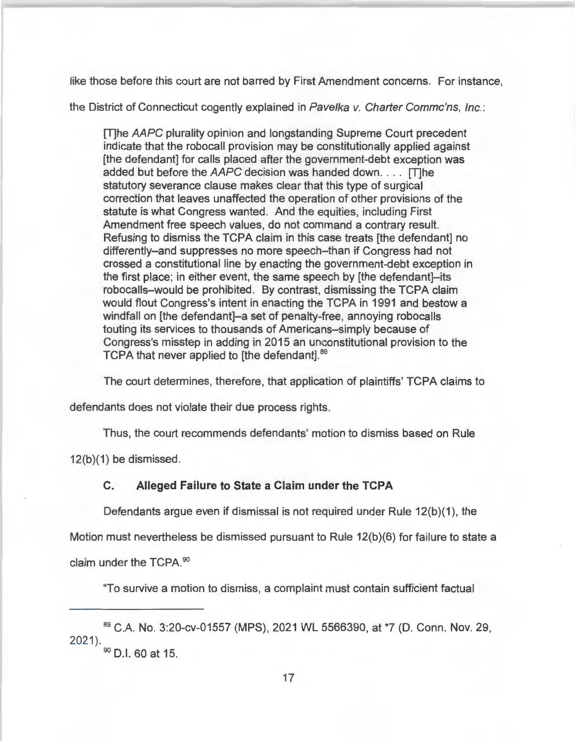like those before this court are not barred by First Amendment concerns. For instance,

the District of Connecticut cogently explained in Pavelka v. Charter Commc'ns, Inc.:

[T]he AAPC plurality opinion and longstanding Supreme Court precedent indicate that the robocall provision may be constitutionally applied against [the defendant] for calls placed after the government-debt exception was added but before the AAPC decision was handed down. . . . [T]he statutory severance clause makes clear that this type of surgical correction that leaves unaffected the operation of other provisions of the statute is what Congress wanted. And the equities, including First Amendment free speech values, do not command a contrary result. Refusing to dismiss the TCPA claim in this case treats [the defendant] no differently-and suppresses no more speech-than if Congress had not crossed a constitutional line by enacting the government-debt exception in the first place; in either event, the same speech by [the defendant]-its robocalls-would be prohibited. By contrast, dismissing the TCPA claim would flout Congress's intent in enacting the TCPA in 1991 and bestow a windfall on [the defendant]-a set of penalty-free, annoying robocalls touting its services to thousands of Americans-simply because of Congress's misstep in adding in 2015 an unconstitutional provision to the TCPA that never applied to [the defendant].<sup>89</sup>

The court determines, therefore, that application of plaintiffs' TCPA claims to

defendants does not violate their due process rights.

Thus, the court recommends defendants' motion to dismiss based on Rule

12(b)(1) be dismissed.

### **C. Alleged Failure to State a Claim under the TCPA**

Defendants argue even if dismissal is not required under Rule 12(b)(1), the

Motion must nevertheless be dismissed pursuant to Rule 12(b)(6) for failure to state a

claim under the TCPA. 90

"To survive a motion to dismiss, a complaint must contain sufficient factual

<sup>89</sup>C.A. No. 3:20-cv-01557 (MPS), 2021 WL 5566390, at \*7 (D. Conn. Nov. 29, 2021).

<sup>&</sup>lt;sup>90</sup> D.I. 60 at 15.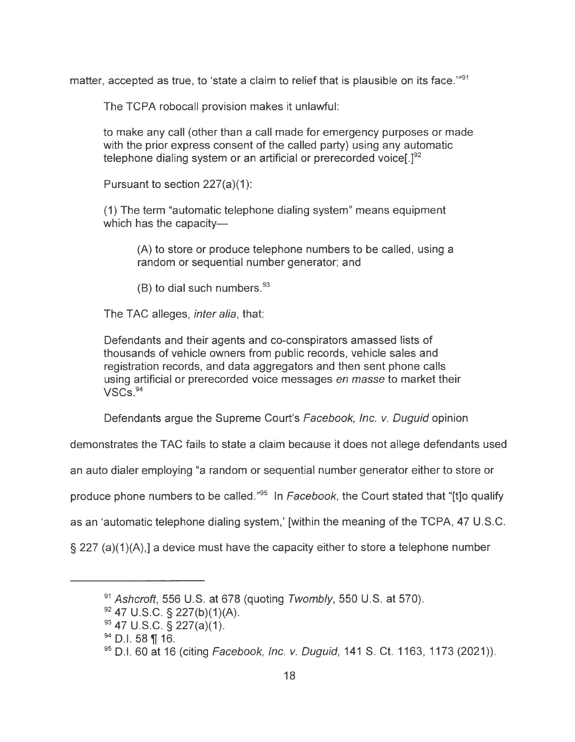matter, accepted as true, to 'state a claim to relief that is plausible on its face."<sup>91</sup>

The TCPA robocall provision makes it unlawful:

to make any call (other than a call made for emergency purposes or made with the prior express consent of the called party) using any automatic telephone dialing system or an artificial or prerecorded voice  $I^{92}$ 

Pursuant to section  $227(a)(1)$ :

(1) The term "automatic telephone dialing system" means equipment which has the capacity-

(A) to store or produce telephone numbers to be called, using a random or sequential number generator; and

(B) to dial such numbers. $93$ 

The TAC alleges, *inter alia*, that:

Defendants and their agents and co-conspirators amassed lists of thousands of vehicle owners from public records, vehicle sales and registration records, and data aggregators and then sent phone calls using artificial or prerecorded voice messages en masse to market their VSCs. <sup>94</sup>

Defendants argue the Supreme Court's Facebook, Inc. v. Duguid opinion

demonstrates the TAC fails to state a claim because it does not allege defendants used

an auto dialer employing "a random or sequential number generator either to store or

produce phone numbers to be called."<sup>95</sup> In Facebook, the Court stated that "[t]o qualify

as an 'automatic telephone dialing system,' [within the meaning of the TCPA, 47 U.S.C.

 $\S$  227 (a)(1)(A),] a device must have the capacity either to store a telephone number

 $91$  Ashcroft, 556 U.S. at 678 (quoting Twombly, 550 U.S. at 570).

 $92$  47 U.S.C. § 227(b)(1)(A).

 $93$  47 U.S.C. § 227(a)(1).

 $94$  D.I. 58 ¶ 16.

 $95$  D.I. 60 at 16 (citing Facebook, Inc. v. Duguid, 141 S. Ct. 1163, 1173 (2021)).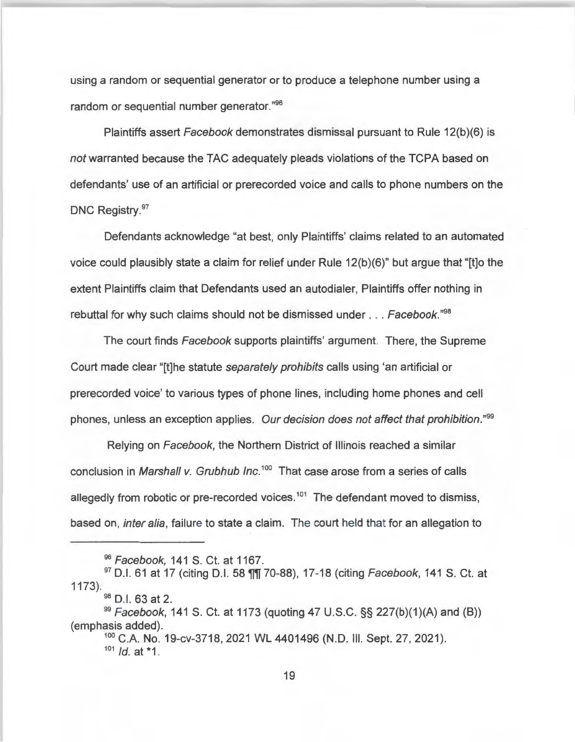using a random or sequential generator or to produce a telephone number using a random or sequential number generator." 96

Plaintiffs assert Facebook demonstrates dismissal pursuant to Rule 12(b)(6) is not warranted because the TAC adequately pleads violations of the TCPA based on defendants' use of an artificial or prerecorded voice and calls to phone numbers on the DNC Registry.<sup>97</sup>

Defendants acknowledge "at best, only Plaintiffs' claims related to an automated voice could plausibly state a claim for relief under Rule 12(b )(6)" but argue that "[t]o the extent Plaintiffs claim that Defendants used an autodialer, Plaintiffs offer nothing in rebuttal for why such claims should not be dismissed under ... Facebook."*<sup>98</sup>*

The court finds Facebook supports plaintiffs' argument. There, the Supreme Court made clear "[t]he statute separately prohibits calls using 'an artificial or prerecorded voice' to various types of phone lines, including home phones and cell phones, unless an exception applies. Our decision does not affect that prohibition."*<sup>99</sup>*

Relying on Facebook, the Northern District of Illinois reached a similar conclusion in Marshall v. Grubhub Inc.<sup>100</sup> That case arose from a series of calls allegedly from robotic or pre-recorded voices.<sup>101</sup> The defendant moved to dismiss, based on, *inter alia*, failure to state a claim. The court held that for an allegation to

98 D.I. 63 at 2.

<sup>96</sup> Facebook, 141 S. Ct. at 1167.

 $97$  D.I. 61 at 17 (citing D.I. 58  $\frac{1}{11}$  70-88), 17-18 (citing Facebook, 141 S. Ct. at 1173).

 $99$  Facebook, 141 S. Ct. at 1173 (quoting 47 U.S.C. §§ 227(b)(1)(A) and (B)) (emphasis added).

<sup>100</sup> C.A. No. 19-cv-3718, 2021 WL 4401496 (N.D. III. Sept. 27, 2021).<br><sup>101</sup> Id. at \*1.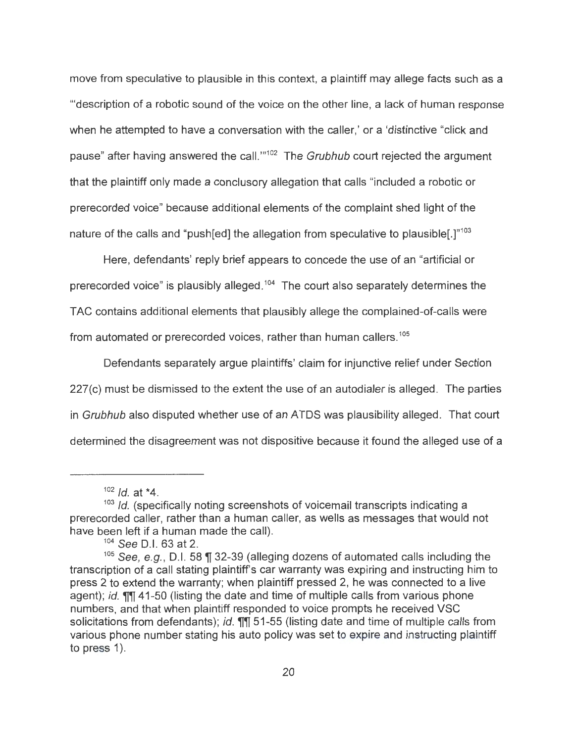move from speculative to plausible in this context, a plaintiff may allege facts such as a '"description of a robotic sound of the voice on the other line, a lack of human response when he attempted to have a conversation with the caller,' or a 'distinctive "click and pause" after having answered the call."<sup>102</sup> The Grubhub court rejected the argument that the plaintiff only made a conclusory allegation that calls "included a robotic or prerecorded voice" because additional elements of the complaint shed light of the nature of the calls and "push[ed] the allegation from speculative to plausible[.]"<sup>103</sup>

Here, defendants' reply brief appears to concede the use of an "artificial or prerecorded voice" is plausibly alleged.<sup>104</sup> The court also separately determines the TAC contains additional elements that plausibly allege the complained-of-calls were from automated or prerecorded voices, rather than human callers. 105

Defendants separately argue plaintiffs' claim for injunctive relief under Section 227(c) must be dismissed to the extent the use of an autodialer is alleged. The parties in Grubhub also disputed whether use of an ATOS was plausibility alleged. That court determined the disagreement was not dispositive because it found the alleged use of a

 $102$  *Id.* at \*4.<br> $103$  *Id.* (specifically noting screenshots of voicemail transcripts indicating a prerecorded caller, rather than a human caller, as wells as messages that would not have been left if a human made the call).<br><sup>104</sup> See D.I. 63 at 2.

<sup>&</sup>lt;sup>105</sup> See, e.g., D.I. 58  $\parallel$  32-39 (alleging dozens of automated calls including the transcription of a call stating plaintiff's car warranty was expiring and instructing him to press 2 to extend the warranty; when plaintiff pressed 2, he was connected to a live agent); *id. III 41-50* (listing the date and time of multiple calls from various phone numbers, and that when plaintiff responded to voice prompts he received VSC solicitations from defendants); *id.* **11** 51-55 (listing date and time of multiple calls from various phone number stating his auto policy was set to expire and instructing plaintiff to press  $1$ ).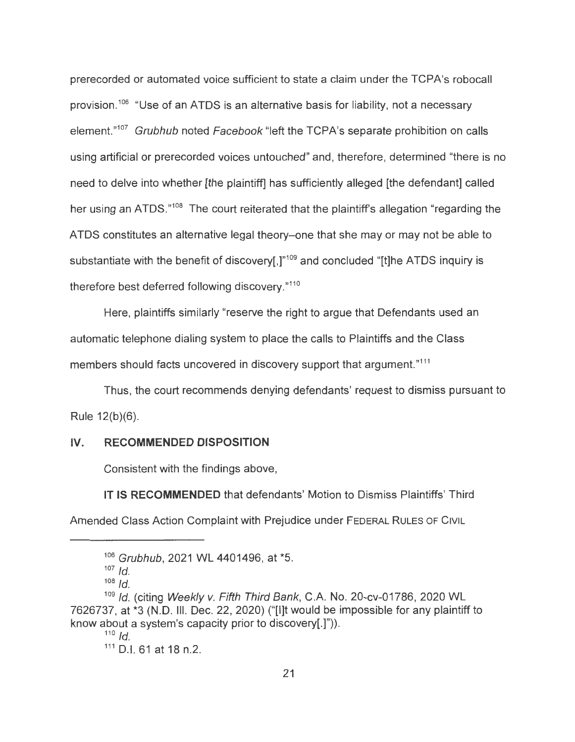prerecorded or automated voice sufficient to state a claim under the TCPA's robocall provision.<sup>106</sup> "Use of an ATDS is an alternative basis for liability, not a necessary element."<sup>107</sup> Grubhub noted Facebook "left the TCPA's separate prohibition on calls using artificial or prerecorded voices untouched" and, therefore, determined "there is no need to delve into whether [the plaintiff] has sufficiently alleged [the defendant] called her using an ATDS."<sup>108</sup> The court reiterated that the plaintiff's allegation "regarding the ATOS constitutes an alternative legal theory-one that she may or may not be able to substantiate with the benefit of discovery[,]"<sup>109</sup> and concluded "[t]he ATDS inquiry is therefore best deferred following discovery."110

Here, plaintiffs similarly "reserve the right to argue that Defendants used an automatic telephone dialing system to place the calls to Plaintiffs and the Class members should facts uncovered in discovery support that argument."<sup>111</sup>

Thus, the court recommends denying defendants' request to dismiss pursuant to Rule 12(b)(6).

#### **IV. RECOMMENDED DISPOSITION**

Consistent with the findings above,

**IT IS RECOMMENDED** that defendants' Motion to Dismiss Plaintiffs' Third Amended Class Action Complaint with Prejudice under FEDERAL RULES OF CIVIL

<sup>106</sup> Grubhub, 2021 WL 4401496, at \*5.

 $107$  Id.

 $108$  *Id.* 

<sup>109</sup> Id. (citing Weekly v. Fifth Third Bank, C.A. No. 20-cv-01786, 2020 WL 7626737, at \*3 (N.D. Ill. Dec. 22, 2020) ("[l]t would be impossible for any plaintiff to know about a system's capacity prior to discovery[.]")).<br> $\frac{110}{10}$ 

<sup>111</sup> D.I. 61 at 18 n.2.